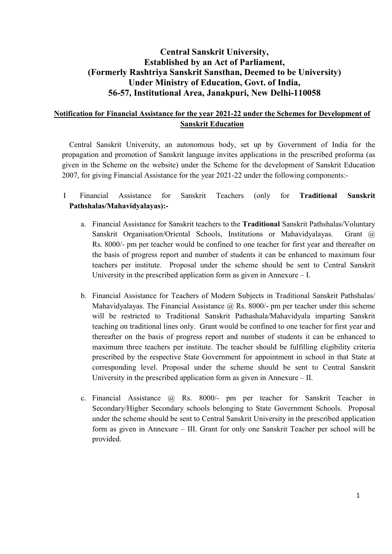# Central Sanskrit University, Established by an Act of Parliament, (Formerly Rashtriya Sanskrit Sansthan, Deemed to be University) Under Ministry of Education, Govt. of India, 56-57, Institutional Area, Janakpuri, New Delhi-110058

## Notification for Financial Assistance for the year 2021-22 under the Schemes for Development of Sanskrit Education

Central Sanskrit University, an autonomous body, set up by Government of India for the propagation and promotion of Sanskrit language invites applications in the prescribed proforma (as given in the Scheme on the website) under the Scheme for the development of Sanskrit Education 2007, for giving Financial Assistance for the year 2021-22 under the following components:-

- I Financial Assistance for Sanskrit Teachers (only for Traditional Sanskrit Pathshalas/Mahavidyalayas):
	- a. Financial Assistance for Sanskrit teachers to the Traditional Sanskrit Pathshalas/Voluntary Sanskrit Organisation/Oriental Schools, Institutions or Mahavidyalayas. Grant @ Rs. 8000/- pm per teacher would be confined to one teacher for first year and thereafter on the basis of progress report and number of students it can be enhanced to maximum four teachers per institute. Proposal under the scheme should be sent to Central Sanskrit University in the prescribed application form as given in Annexure – I.
	- b. Financial Assistance for Teachers of Modern Subjects in Traditional Sanskrit Pathshalas/ Mahavidyalayas. The Financial Assistance  $\omega$  Rs. 8000/- pm per teacher under this scheme will be restricted to Traditional Sanskrit Pathashala/Mahavidyala imparting Sanskrit teaching on traditional lines only. Grant would be confined to one teacher for first year and thereafter on the basis of progress report and number of students it can be enhanced to maximum three teachers per institute. The teacher should be fulfilling eligibility criteria prescribed by the respective State Government for appointment in school in that State at corresponding level. Proposal under the scheme should be sent to Central Sanskrit University in the prescribed application form as given in Annexure – II.
	- c. Financial Assistance @ Rs. 8000/- pm per teacher for Sanskrit Teacher in Secondary/Higher Secondary schools belonging to State Government Schools. Proposal under the scheme should be sent to Central Sanskrit University in the prescribed application form as given in Annexure – III. Grant for only one Sanskrit Teacher per school will be provided.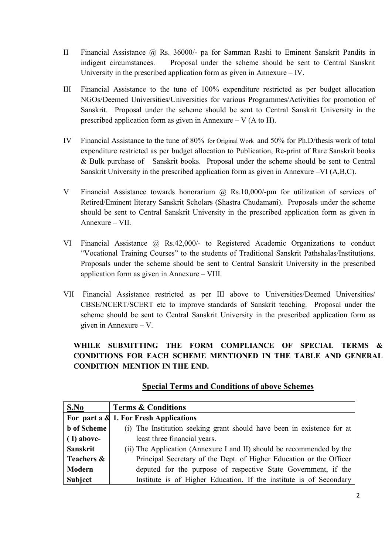- II Financial Assistance @ Rs. 36000/- pa for Samman Rashi to Eminent Sanskrit Pandits in indigent circumstances. Proposal under the scheme should be sent to Central Sanskrit University in the prescribed application form as given in Annexure – IV.
- III Financial Assistance to the tune of 100% expenditure restricted as per budget allocation NGOs/Deemed Universities/Universities for various Programmes/Activities for promotion of Sanskrit. Proposal under the scheme should be sent to Central Sanskrit University in the prescribed application form as given in Annexure – V  $(A \text{ to } H)$ .
- IV Financial Assistance to the tune of 80% for Original Work and 50% for Ph.D/thesis work of total expenditure restricted as per budget allocation to Publication, Re-print of Rare Sanskrit books & Bulk purchase of Sanskrit books. Proposal under the scheme should be sent to Central Sanskrit University in the prescribed application form as given in Annexure –VI (A,B,C).
- V Financial Assistance towards honorarium @ Rs.10,000/-pm for utilization of services of Retired/Eminent literary Sanskrit Scholars (Shastra Chudamani). Proposals under the scheme should be sent to Central Sanskrit University in the prescribed application form as given in Annexure – VII.
- VI Financial Assistance @ Rs.42,000/- to Registered Academic Organizations to conduct "Vocational Training Courses" to the students of Traditional Sanskrit Pathshalas/Institutions. Proposals under the scheme should be sent to Central Sanskrit University in the prescribed application form as given in Annexure – VIII.
- VII Financial Assistance restricted as per III above to Universities/Deemed Universities/ CBSE/NCERT/SCERT etc to improve standards of Sanskrit teaching. Proposal under the scheme should be sent to Central Sanskrit University in the prescribed application form as given in Annexure – V.

# WHILE SUBMITTING THE FORM COMPLIANCE OF SPECIAL TERMS & CONDITIONS FOR EACH SCHEME MENTIONED IN THE TABLE AND GENERAL CONDITION MENTION IN THE END.

| S.No               | <b>Terms &amp; Conditions</b>                                          |
|--------------------|------------------------------------------------------------------------|
|                    | For part a & 1. For Fresh Applications                                 |
| <b>b</b> of Scheme | (i) The Institution seeking grant should have been in existence for at |
| $(I)$ above-       | least three financial years.                                           |
| <b>Sanskrit</b>    | (ii) The Application (Annexure I and II) should be recommended by the  |
| Teachers &         | Principal Secretary of the Dept. of Higher Education or the Officer    |
| Modern             | deputed for the purpose of respective State Government, if the         |
| Subject            | Institute is of Higher Education. If the institute is of Secondary     |

## Special Terms and Conditions of above Schemes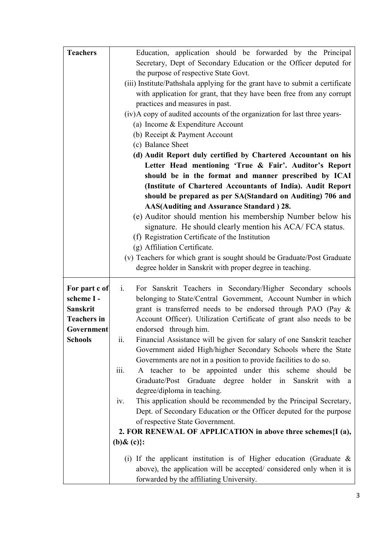| <b>Teachers</b>    | Education, application should be forwarded by the Principal                        |  |
|--------------------|------------------------------------------------------------------------------------|--|
|                    | Secretary, Dept of Secondary Education or the Officer deputed for                  |  |
|                    | the purpose of respective State Govt.                                              |  |
|                    | (iii) Institute/Pathshala applying for the grant have to submit a certificate      |  |
|                    | with application for grant, that they have been free from any corrupt              |  |
|                    | practices and measures in past.                                                    |  |
|                    | (iv)A copy of audited accounts of the organization for last three years-           |  |
|                    | (a) Income & Expenditure Account                                                   |  |
|                    | (b) Receipt & Payment Account                                                      |  |
|                    | (c) Balance Sheet                                                                  |  |
|                    | (d) Audit Report duly certified by Chartered Accountant on his                     |  |
|                    | Letter Head mentioning 'True & Fair'. Auditor's Report                             |  |
|                    | should be in the format and manner prescribed by ICAI                              |  |
|                    | (Institute of Chartered Accountants of India). Audit Report                        |  |
|                    | should be prepared as per SA(Standard on Auditing) 706 and                         |  |
|                    | AAS(Auditing and Assurance Standard) 28.                                           |  |
|                    | (e) Auditor should mention his membership Number below his                         |  |
|                    | signature. He should clearly mention his ACA/FCA status.                           |  |
|                    | (f) Registration Certificate of the Institution                                    |  |
|                    | (g) Affiliation Certificate.                                                       |  |
|                    | (v) Teachers for which grant is sought should be Graduate/Post Graduate            |  |
|                    | degree holder in Sanskrit with proper degree in teaching.                          |  |
|                    |                                                                                    |  |
| For part c of      | For Sanskrit Teachers in Secondary/Higher Secondary schools<br>$\mathbf{i}$ .      |  |
| scheme I-          | belonging to State/Central Government, Account Number in which                     |  |
| <b>Sanskrit</b>    | grant is transferred needs to be endorsed through PAO (Pay &                       |  |
| <b>Teachers in</b> | Account Officer). Utilization Certificate of grant also needs to be                |  |
| Government         | endorsed through him.                                                              |  |
| <b>Schools</b>     | Financial Assistance will be given for salary of one Sanskrit teacher<br>11.       |  |
|                    | Government aided High/higher Secondary Schools where the State                     |  |
|                    | Governments are not in a position to provide facilities to do so.                  |  |
|                    | A teacher to be appointed under this scheme should be<br>$\overline{\text{iii}}$ . |  |
|                    | Graduate/Post Graduate degree holder in<br>Sanskrit with<br>a                      |  |
|                    | degree/diploma in teaching.                                                        |  |
|                    | This application should be recommended by the Principal Secretary,<br>1V.          |  |
|                    | Dept. of Secondary Education or the Officer deputed for the purpose                |  |
|                    | of respective State Government.                                                    |  |
|                    | 2. FOR RENEWAL OF APPLICATION in above three schemes {I (a),                       |  |
|                    | (b) $\&$ (c) }:                                                                    |  |
|                    | (i) If the applicant institution is of Higher education (Graduate $\&$             |  |
|                    | above), the application will be accepted/considered only when it is                |  |
|                    | forwarded by the affiliating University.                                           |  |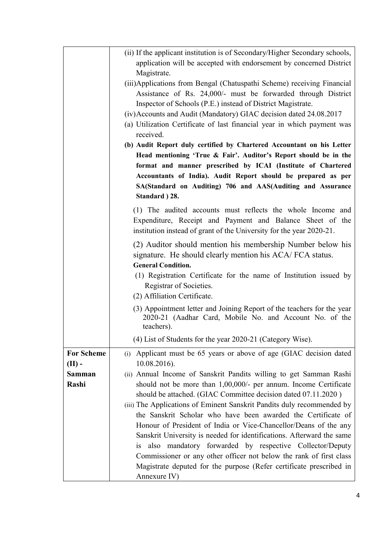|                   | (ii) If the applicant institution is of Secondary/Higher Secondary schools,                                                              |
|-------------------|------------------------------------------------------------------------------------------------------------------------------------------|
|                   | application will be accepted with endorsement by concerned District                                                                      |
|                   | Magistrate.                                                                                                                              |
|                   | (iii) Applications from Bengal (Chatuspathi Scheme) receiving Financial<br>Assistance of Rs. 24,000/- must be forwarded through District |
|                   | Inspector of Schools (P.E.) instead of District Magistrate.                                                                              |
|                   | (iv) Accounts and Audit (Mandatory) GIAC decision dated 24.08.2017                                                                       |
|                   | (a) Utilization Certificate of last financial year in which payment was                                                                  |
|                   | received.                                                                                                                                |
|                   | (b) Audit Report duly certified by Chartered Accountant on his Letter                                                                    |
|                   | Head mentioning 'True & Fair'. Auditor's Report should be in the                                                                         |
|                   | format and manner prescribed by ICAI (Institute of Chartered                                                                             |
|                   | Accountants of India). Audit Report should be prepared as per                                                                            |
|                   | SA(Standard on Auditing) 706 and AAS(Auditing and Assurance                                                                              |
|                   | Standard ) 28.                                                                                                                           |
|                   | (1) The audited accounts must reflects the whole Income and                                                                              |
|                   | Expenditure, Receipt and Payment and Balance Sheet of the                                                                                |
|                   | institution instead of grant of the University for the year 2020-21.                                                                     |
|                   | (2) Auditor should mention his membership Number below his                                                                               |
|                   | signature. He should clearly mention his ACA/FCA status.                                                                                 |
|                   | <b>General Condition.</b>                                                                                                                |
|                   | (1) Registration Certificate for the name of Institution issued by                                                                       |
|                   | Registrar of Societies.                                                                                                                  |
|                   | (2) Affiliation Certificate.                                                                                                             |
|                   | (3) Appointment letter and Joining Report of the teachers for the year                                                                   |
|                   | 2020-21 (Aadhar Card, Mobile No. and Account No. of the<br>teachers).                                                                    |
|                   |                                                                                                                                          |
|                   | (4) List of Students for the year 2020-21 (Category Wise).                                                                               |
| <b>For Scheme</b> | (i) Applicant must be 65 years or above of age (GIAC decision dated                                                                      |
| $(II)$ -          | $10.08.2016$ ).                                                                                                                          |
| Samman<br>Rashi   | (ii) Annual Income of Sanskrit Pandits willing to get Samman Rashi                                                                       |
|                   | should not be more than 1,00,000/- per annum. Income Certificate<br>should be attached. (GIAC Committee decision dated 07.11.2020)       |
|                   | (iii) The Applications of Eminent Sanskrit Pandits duly recommended by                                                                   |
|                   | the Sanskrit Scholar who have been awarded the Certificate of                                                                            |
|                   | Honour of President of India or Vice-Chancellor/Deans of the any                                                                         |
|                   | Sanskrit University is needed for identifications. Afterward the same                                                                    |
|                   | also mandatory forwarded by respective Collector/Deputy<br>i <sub>S</sub>                                                                |
|                   | Commissioner or any other officer not below the rank of first class                                                                      |
|                   | Magistrate deputed for the purpose (Refer certificate prescribed in                                                                      |
|                   | Annexure IV)                                                                                                                             |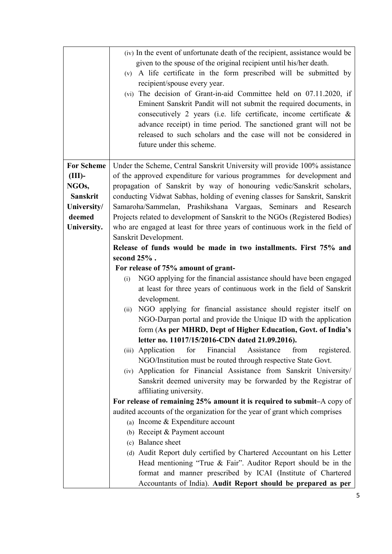|                   | (iv) In the event of unfortunate death of the recipient, assistance would be<br>given to the spouse of the original recipient until his/her death. |  |
|-------------------|----------------------------------------------------------------------------------------------------------------------------------------------------|--|
|                   | (v) A life certificate in the form prescribed will be submitted by                                                                                 |  |
|                   | recipient/spouse every year.                                                                                                                       |  |
|                   | (vi) The decision of Grant-in-aid Committee held on 07.11.2020, if<br>Eminent Sanskrit Pandit will not submit the required documents, in           |  |
|                   | consecutively 2 years (i.e. life certificate, income certificate $\&$                                                                              |  |
|                   | advance receipt) in time period. The sanctioned grant will not be                                                                                  |  |
|                   | released to such scholars and the case will not be considered in                                                                                   |  |
|                   | future under this scheme.                                                                                                                          |  |
|                   |                                                                                                                                                    |  |
| <b>For Scheme</b> | Under the Scheme, Central Sanskrit University will provide 100% assistance                                                                         |  |
| $(III)$ -         | of the approved expenditure for various programmes for development and                                                                             |  |
| NGOs,             | propagation of Sanskrit by way of honouring vedic/Sanskrit scholars,                                                                               |  |
| <b>Sanskrit</b>   | conducting Vidwat Sabhas, holding of evening classes for Sanskrit, Sanskrit                                                                        |  |
| University/       | Samaroha/Sammelan, Prashikshana Vargaas, Seminars and Research                                                                                     |  |
| deemed            | Projects related to development of Sanskrit to the NGOs (Registered Bodies)                                                                        |  |
| University.       | who are engaged at least for three years of continuous work in the field of                                                                        |  |
|                   | Sanskrit Development.<br>Release of funds would be made in two installments. First 75% and                                                         |  |
|                   | second $25%$ .                                                                                                                                     |  |
|                   | For release of 75% amount of grant-                                                                                                                |  |
|                   | NGO applying for the financial assistance should have been engaged<br>(i)                                                                          |  |
|                   | at least for three years of continuous work in the field of Sanskrit                                                                               |  |
|                   | development.                                                                                                                                       |  |
|                   | NGO applying for financial assistance should register itself on<br>(ii)                                                                            |  |
|                   | NGO-Darpan portal and provide the Unique ID with the application                                                                                   |  |
|                   | form (As per MHRD, Dept of Higher Education, Govt. of India's                                                                                      |  |
|                   | letter no. 11017/15/2016-CDN dated 21.09.2016).                                                                                                    |  |
|                   | Financial<br>Assistance<br>(iii) Application<br>for<br>from<br>registered.                                                                         |  |
|                   | NGO/Institution must be routed through respective State Govt.<br>(iv) Application for Financial Assistance from Sanskrit University/               |  |
|                   | Sanskrit deemed university may be forwarded by the Registrar of                                                                                    |  |
|                   | affiliating university.                                                                                                                            |  |
|                   | For release of remaining 25% amount it is required to submit-A copy of                                                                             |  |
|                   | audited accounts of the organization for the year of grant which comprises                                                                         |  |
|                   | (a) Income $&$ Expenditure account                                                                                                                 |  |
|                   | (b) Receipt & Payment account                                                                                                                      |  |
|                   | (c) Balance sheet                                                                                                                                  |  |
|                   | (d) Audit Report duly certified by Chartered Accountant on his Letter                                                                              |  |
|                   | Head mentioning "True $\&$ Fair". Auditor Report should be in the                                                                                  |  |
|                   | format and manner prescribed by ICAI (Institute of Chartered                                                                                       |  |
|                   | Accountants of India). Audit Report should be prepared as per                                                                                      |  |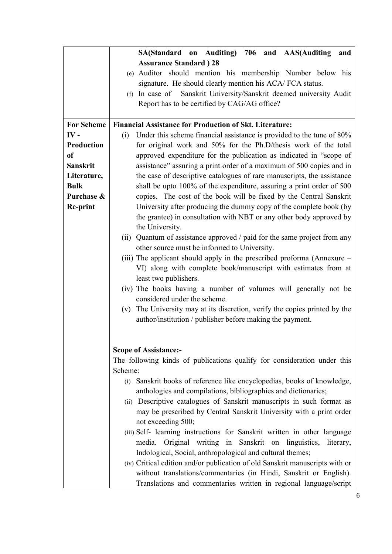|                   | SA(Standard on Auditing) 706 and AAS(Auditing<br>and                         |
|-------------------|------------------------------------------------------------------------------|
|                   | <b>Assurance Standard</b> ) 28                                               |
|                   | (e) Auditor should mention his membership Number below his                   |
|                   | signature. He should clearly mention his ACA/FCA status.                     |
|                   | (f) In case of Sanskrit University/Sanskrit deemed university Audit          |
|                   | Report has to be certified by CAG/AG office?                                 |
|                   |                                                                              |
| <b>For Scheme</b> | <b>Financial Assistance for Production of Skt. Literature:</b>               |
| IV-               | Under this scheme financial assistance is provided to the tune of 80%<br>(i) |
| Production        | for original work and 50% for the Ph.D/thesis work of the total              |
| <sub>of</sub>     | approved expenditure for the publication as indicated in "scope of           |
| <b>Sanskrit</b>   | assistance" assuring a print order of a maximum of 500 copies and in         |
| Literature,       | the case of descriptive catalogues of rare manuscripts, the assistance       |
| <b>Bulk</b>       | shall be upto 100% of the expenditure, assuring a print order of 500         |
| Purchase &        | copies. The cost of the book will be fixed by the Central Sanskrit           |
| Re-print          | University after producing the dummy copy of the complete book (by           |
|                   | the grantee) in consultation with NBT or any other body approved by          |
|                   | the University.                                                              |
|                   | (ii) Quantum of assistance approved / paid for the same project from any     |
|                   | other source must be informed to University.                                 |
|                   | (iii) The applicant should apply in the prescribed proforma (Annexure –      |
|                   | VI) along with complete book/manuscript with estimates from at               |
|                   | least two publishers.                                                        |
|                   | (iv) The books having a number of volumes will generally not be              |
|                   | considered under the scheme.                                                 |
|                   | (v) The University may at its discretion, verify the copies printed by the   |
|                   | author/institution / publisher before making the payment.                    |
|                   |                                                                              |
|                   |                                                                              |
|                   | <b>Scope of Assistance:-</b>                                                 |
|                   | The following kinds of publications qualify for consideration under this     |
|                   | Scheme:                                                                      |
|                   | (i) Sanskrit books of reference like encyclopedias, books of knowledge,      |
|                   | anthologies and compilations, bibliographies and dictionaries;               |
|                   | (ii) Descriptive catalogues of Sanskrit manuscripts in such format as        |
|                   | may be prescribed by Central Sanskrit University with a print order          |
|                   | not exceeding 500;                                                           |
|                   | (iii) Self- learning instructions for Sanskrit written in other language     |
|                   | media. Original writing in Sanskrit on linguistics, literary,                |
|                   | Indological, Social, anthropological and cultural themes;                    |
|                   | (iv) Critical edition and/or publication of old Sanskrit manuscripts with or |
|                   | without translations/commentaries (in Hindi, Sanskrit or English).           |
|                   | Translations and commentaries written in regional language/script            |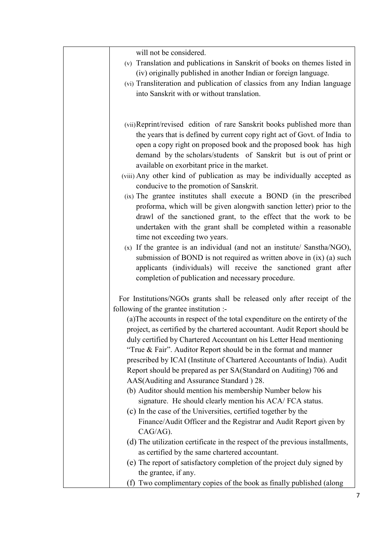| will not be considered.<br>(v) Translation and publications in Sanskrit of books on themes listed in<br>(iv) originally published in another Indian or foreign language.<br>(vi) Transliteration and publication of classics from any Indian language<br>into Sanskrit with or without translation.                                                                                                                                                                                                                                                                                                                                                                                                                                                                                                                                                                                                                                                                                                                                                                                                                                                                                                                     |
|-------------------------------------------------------------------------------------------------------------------------------------------------------------------------------------------------------------------------------------------------------------------------------------------------------------------------------------------------------------------------------------------------------------------------------------------------------------------------------------------------------------------------------------------------------------------------------------------------------------------------------------------------------------------------------------------------------------------------------------------------------------------------------------------------------------------------------------------------------------------------------------------------------------------------------------------------------------------------------------------------------------------------------------------------------------------------------------------------------------------------------------------------------------------------------------------------------------------------|
| (vii) Reprint/revised edition of rare Sanskrit books published more than<br>the years that is defined by current copy right act of Govt. of India to<br>open a copy right on proposed book and the proposed book has high<br>demand by the scholars/students of Sanskrit but is out of print or<br>available on exorbitant price in the market.<br>(viii) Any other kind of publication as may be individually accepted as<br>conducive to the promotion of Sanskrit.<br>(ix) The grantee institutes shall execute a BOND (in the prescribed<br>proforma, which will be given alongwith sanction letter) prior to the<br>drawl of the sanctioned grant, to the effect that the work to be<br>undertaken with the grant shall be completed within a reasonable<br>time not exceeding two years.<br>(x) If the grantee is an individual (and not an institute/ Sanstha/NGO),<br>submission of BOND is not required as written above in $(ix)$ (a) such<br>applicants (individuals) will receive the sanctioned grant after<br>completion of publication and necessary procedure.                                                                                                                                          |
| For Institutions/NGOs grants shall be released only after receipt of the<br>following of the grantee institution :-<br>(a) The accounts in respect of the total expenditure on the entirety of the<br>project, as certified by the chartered accountant. Audit Report should be<br>duly certified by Chartered Accountant on his Letter Head mentioning<br>"True $\&$ Fair". Auditor Report should be in the format and manner<br>prescribed by ICAI (Institute of Chartered Accountants of India). Audit<br>Report should be prepared as per SA(Standard on Auditing) 706 and<br>AAS(Auditing and Assurance Standard) 28.<br>(b) Auditor should mention his membership Number below his<br>signature. He should clearly mention his ACA/FCA status.<br>(c) In the case of the Universities, certified together by the<br>Finance/Audit Officer and the Registrar and Audit Report given by<br>CAG/AG).<br>(d) The utilization certificate in the respect of the previous installments,<br>as certified by the same chartered accountant.<br>(e) The report of satisfactory completion of the project duly signed by<br>the grantee, if any.<br>Two complimentary copies of the book as finally published (along<br>(f) |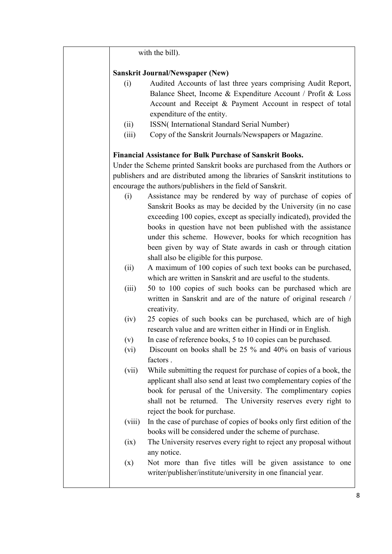|        | with the bill).                                                                |
|--------|--------------------------------------------------------------------------------|
|        | <b>Sanskrit Journal/Newspaper (New)</b>                                        |
| (i)    | Audited Accounts of last three years comprising Audit Report,                  |
|        | Balance Sheet, Income & Expenditure Account / Profit & Loss                    |
|        | Account and Receipt & Payment Account in respect of total                      |
|        | expenditure of the entity.                                                     |
| (ii)   | ISSN(International Standard Serial Number)                                     |
| (iii)  | Copy of the Sanskrit Journals/Newspapers or Magazine.                          |
|        | <b>Financial Assistance for Bulk Purchase of Sanskrit Books.</b>               |
|        | Under the Scheme printed Sanskrit books are purchased from the Authors or      |
|        | publishers and are distributed among the libraries of Sanskrit institutions to |
|        | encourage the authors/publishers in the field of Sanskrit.                     |
| (i)    | Assistance may be rendered by way of purchase of copies of                     |
|        | Sanskrit Books as may be decided by the University (in no case                 |
|        | exceeding 100 copies, except as specially indicated), provided the             |
|        | books in question have not been published with the assistance                  |
|        | under this scheme. However, books for which recognition has                    |
|        | been given by way of State awards in cash or through citation                  |
|        | shall also be eligible for this purpose.                                       |
| (ii)   | A maximum of 100 copies of such text books can be purchased,                   |
|        | which are written in Sanskrit and are useful to the students.                  |
| (iii)  | 50 to 100 copies of such books can be purchased which are                      |
|        | written in Sanskrit and are of the nature of original research /               |
|        | creativity.                                                                    |
| (iv)   | 25 copies of such books can be purchased, which are of high                    |
|        | research value and are written either in Hindi or in English.                  |
| (v)    | In case of reference books, 5 to 10 copies can be purchased.                   |
| (vi)   | Discount on books shall be 25 % and 40% on basis of various<br>factors.        |
| (vii)  | While submitting the request for purchase of copies of a book, the             |
|        | applicant shall also send at least two complementary copies of the             |
|        | book for perusal of the University. The complimentary copies                   |
|        | shall not be returned. The University reserves every right to                  |
|        | reject the book for purchase.                                                  |
| (viii) | In the case of purchase of copies of books only first edition of the           |
|        | books will be considered under the scheme of purchase.                         |
| (ix)   | The University reserves every right to reject any proposal without             |
|        | any notice.                                                                    |
| (x)    | Not more than five titles will be given assistance to one                      |
|        | writer/publisher/institute/university in one financial year.                   |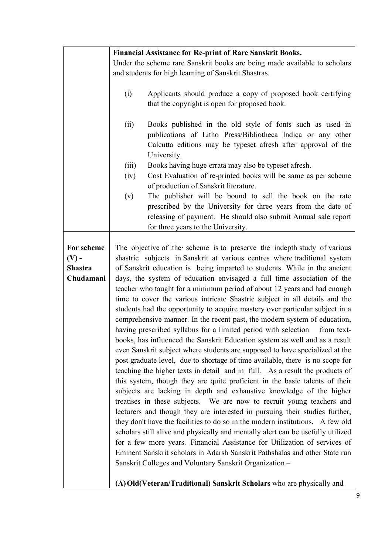|                                                      | <b>Financial Assistance for Re-print of Rare Sanskrit Books.</b>                                                                                                                                                                                                                                                                                                                                                                                                                                                                                                                                                                                                                                                                                                                                                                                                                                                                                                                                                                                                                                                                                                                                                                                                                                                                                                                                                                                                                                                                                                                                                                                                                                                                                                                                                                        |  |
|------------------------------------------------------|-----------------------------------------------------------------------------------------------------------------------------------------------------------------------------------------------------------------------------------------------------------------------------------------------------------------------------------------------------------------------------------------------------------------------------------------------------------------------------------------------------------------------------------------------------------------------------------------------------------------------------------------------------------------------------------------------------------------------------------------------------------------------------------------------------------------------------------------------------------------------------------------------------------------------------------------------------------------------------------------------------------------------------------------------------------------------------------------------------------------------------------------------------------------------------------------------------------------------------------------------------------------------------------------------------------------------------------------------------------------------------------------------------------------------------------------------------------------------------------------------------------------------------------------------------------------------------------------------------------------------------------------------------------------------------------------------------------------------------------------------------------------------------------------------------------------------------------------|--|
|                                                      | Under the scheme rare Sanskrit books are being made available to scholars                                                                                                                                                                                                                                                                                                                                                                                                                                                                                                                                                                                                                                                                                                                                                                                                                                                                                                                                                                                                                                                                                                                                                                                                                                                                                                                                                                                                                                                                                                                                                                                                                                                                                                                                                               |  |
|                                                      | and students for high learning of Sanskrit Shastras.                                                                                                                                                                                                                                                                                                                                                                                                                                                                                                                                                                                                                                                                                                                                                                                                                                                                                                                                                                                                                                                                                                                                                                                                                                                                                                                                                                                                                                                                                                                                                                                                                                                                                                                                                                                    |  |
|                                                      | (i)<br>Applicants should produce a copy of proposed book certifying<br>that the copyright is open for proposed book.                                                                                                                                                                                                                                                                                                                                                                                                                                                                                                                                                                                                                                                                                                                                                                                                                                                                                                                                                                                                                                                                                                                                                                                                                                                                                                                                                                                                                                                                                                                                                                                                                                                                                                                    |  |
|                                                      | (ii)<br>Books published in the old style of fonts such as used in<br>publications of Litho Press/Bibliotheca Indica or any other<br>Calcutta editions may be typeset afresh after approval of the<br>University.<br>(iii)<br>Books having huge errata may also be typeset afresh.<br>Cost Evaluation of re-printed books will be same as per scheme<br>(iv)<br>of production of Sanskrit literature.<br>(v)<br>The publisher will be bound to sell the book on the rate<br>prescribed by the University for three years from the date of<br>releasing of payment. He should also submit Annual sale report                                                                                                                                                                                                                                                                                                                                                                                                                                                                                                                                                                                                                                                                                                                                                                                                                                                                                                                                                                                                                                                                                                                                                                                                                              |  |
|                                                      | for three years to the University.                                                                                                                                                                                                                                                                                                                                                                                                                                                                                                                                                                                                                                                                                                                                                                                                                                                                                                                                                                                                                                                                                                                                                                                                                                                                                                                                                                                                                                                                                                                                                                                                                                                                                                                                                                                                      |  |
| For scheme<br>$(V)$ -<br><b>Shastra</b><br>Chudamani | The objective of the scheme is to preserve the indepth study of various<br>shastric subjects in Sanskrit at various centres where traditional system<br>of Sanskrit education is being imparted to students. While in the ancient<br>days, the system of education envisaged a full time association of the<br>teacher who taught for a minimum period of about 12 years and had enough<br>time to cover the various intricate Shastric subject in all details and the<br>students had the opportunity to acquire mastery over particular subject in a<br>comprehensive manner. In the recent past, the modern system of education,<br>having prescribed syllabus for a limited period with selection<br>from text-<br>books, has influenced the Sanskrit Education system as well and as a result<br>even Sanskrit subject where students are supposed to have specialized at the<br>post graduate level, due to shortage of time available, there is no scope for<br>teaching the higher texts in detail and in full. As a result the products of<br>this system, though they are quite proficient in the basic talents of their<br>subjects are lacking in depth and exhaustive knowledge of the higher<br>treatises in these subjects. We are now to recruit young teachers and<br>lecturers and though they are interested in pursuing their studies further,<br>they don't have the facilities to do so in the modern institutions. A few old<br>scholars still alive and physically and mentally alert can be usefully utilized<br>for a few more years. Financial Assistance for Utilization of services of<br>Eminent Sanskrit scholars in Adarsh Sanskrit Pathshalas and other State run<br>Sanskrit Colleges and Voluntary Sanskrit Organization -<br>(A) Old (Veteran/Traditional) Sanskrit Scholars who are physically and |  |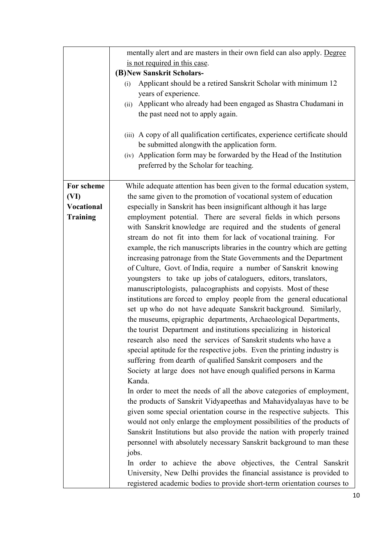|                   | mentally alert and are masters in their own field can also apply. Degree      |  |
|-------------------|-------------------------------------------------------------------------------|--|
|                   | is not required in this case.                                                 |  |
|                   | (B) New Sanskrit Scholars-                                                    |  |
|                   | Applicant should be a retired Sanskrit Scholar with minimum 12<br>(i)         |  |
|                   | years of experience.                                                          |  |
|                   | (ii) Applicant who already had been engaged as Shastra Chudamani in           |  |
|                   | the past need not to apply again.                                             |  |
|                   |                                                                               |  |
|                   | (iii) A copy of all qualification certificates, experience certificate should |  |
|                   | be submitted alongwith the application form.                                  |  |
|                   | (iv) Application form may be forwarded by the Head of the Institution         |  |
|                   |                                                                               |  |
|                   | preferred by the Scholar for teaching.                                        |  |
| For scheme        |                                                                               |  |
|                   | While adequate attention has been given to the formal education system,       |  |
| (VI)              | the same given to the promotion of vocational system of education             |  |
| <b>Vocational</b> | especially in Sanskrit has been insignificant although it has large           |  |
| <b>Training</b>   | employment potential. There are several fields in which persons               |  |
|                   | with Sanskrit knowledge are required and the students of general              |  |
|                   | stream do not fit into them for lack of vocational training. For              |  |
|                   | example, the rich manuscripts libraries in the country which are getting      |  |
|                   | increasing patronage from the State Governments and the Department            |  |
|                   | of Culture, Govt. of India, require a number of Sanskrit knowing              |  |
|                   | youngsters to take up jobs of cataloguers, editors, translators,              |  |
|                   | manuscriptologists, palacographists and copyists. Most of these               |  |
|                   | institutions are forced to employ people from the general educational         |  |
|                   | set up who do not have adequate Sanskrit background. Similarly,               |  |
|                   | the museums, epigraphic departments, Archaeological Departments,              |  |
|                   | the tourist Department and institutions specializing in historical            |  |
|                   | research also need the services of Sanskrit students who have a               |  |
|                   | special aptitude for the respective jobs. Even the printing industry is       |  |
|                   | suffering from dearth of qualified Sanskrit composers and the                 |  |
|                   | Society at large does not have enough qualified persons in Karma              |  |
|                   | Kanda.                                                                        |  |
|                   | In order to meet the needs of all the above categories of employment,         |  |
|                   | the products of Sanskrit Vidyapeethas and Mahavidyalayas have to be           |  |
|                   | given some special orientation course in the respective subjects. This        |  |
|                   | would not only enlarge the employment possibilities of the products of        |  |
|                   | Sanskrit Institutions but also provide the nation with properly trained       |  |
|                   | personnel with absolutely necessary Sanskrit background to man these          |  |
|                   | jobs.                                                                         |  |
|                   | In order to achieve the above objectives, the Central Sanskrit                |  |
|                   |                                                                               |  |
|                   | University, New Delhi provides the financial assistance is provided to        |  |
|                   | registered academic bodies to provide short-term orientation courses to       |  |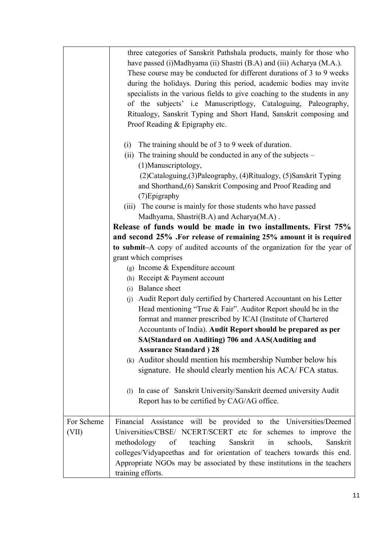|            | three categories of Sanskrit Pathshala products, mainly for those who<br>have passed (i)Madhyama (ii) Shastri (B.A) and (iii) Acharya (M.A.).<br>These course may be conducted for different durations of 3 to 9 weeks<br>during the holidays. During this period, academic bodies may invite<br>specialists in the various fields to give coaching to the students in any<br>of the subjects' i.e Manuscriptlogy, Cataloguing, Paleography,<br>Ritualogy, Sanskrit Typing and Short Hand, Sanskrit composing and<br>Proof Reading & Epigraphy etc. |
|------------|-----------------------------------------------------------------------------------------------------------------------------------------------------------------------------------------------------------------------------------------------------------------------------------------------------------------------------------------------------------------------------------------------------------------------------------------------------------------------------------------------------------------------------------------------------|
|            | The training should be of 3 to 9 week of duration.<br>(i)<br>(ii) The training should be conducted in any of the subjects -<br>(1) Manuscriptology,<br>(2) Cataloguing, (3) Paleography, (4) Ritualogy, (5) Sanskrit Typing<br>and Shorthand, (6) Sanskrit Composing and Proof Reading and                                                                                                                                                                                                                                                          |
|            | (7) Epigraphy<br>(iii) The course is mainly for those students who have passed<br>Madhyama, Shastri(B.A) and Acharya(M.A).<br>Release of funds would be made in two installments. First 75%<br>and second 25% .For release of remaining 25% amount it is required                                                                                                                                                                                                                                                                                   |
|            | to submit-A copy of audited accounts of the organization for the year of<br>grant which comprises                                                                                                                                                                                                                                                                                                                                                                                                                                                   |
|            | (g) Income $&$ Expenditure account                                                                                                                                                                                                                                                                                                                                                                                                                                                                                                                  |
|            | (h) Receipt & Payment account                                                                                                                                                                                                                                                                                                                                                                                                                                                                                                                       |
|            | (i) Balance sheet                                                                                                                                                                                                                                                                                                                                                                                                                                                                                                                                   |
|            | Audit Report duly certified by Chartered Accountant on his Letter<br>(j)<br>Head mentioning "True $& Fair$ ". Auditor Report should be in the<br>format and manner prescribed by ICAI (Institute of Chartered<br>Accountants of India). Audit Report should be prepared as per                                                                                                                                                                                                                                                                      |
|            | <b>SA(Standard on Auditing) 706 and AAS(Auditing and</b>                                                                                                                                                                                                                                                                                                                                                                                                                                                                                            |
|            | <b>Assurance Standard</b> ) 28                                                                                                                                                                                                                                                                                                                                                                                                                                                                                                                      |
|            | (k) Auditor should mention his membership Number below his<br>signature. He should clearly mention his ACA/FCA status.                                                                                                                                                                                                                                                                                                                                                                                                                              |
|            | In case of Sanskrit University/Sanskrit deemed university Audit<br>$\Omega$<br>Report has to be certified by CAG/AG office.                                                                                                                                                                                                                                                                                                                                                                                                                         |
| For Scheme | Financial Assistance will be provided to the Universities/Deemed                                                                                                                                                                                                                                                                                                                                                                                                                                                                                    |
| (VII)      | Universities/CBSE/ NCERT/SCERT etc for schemes to improve the<br>methodology<br>of teaching<br>Sanskrit<br>schools,<br>Sanskrit<br>in<br>colleges/Vidyapeethas and for orientation of teachers towards this end.<br>Appropriate NGOs may be associated by these institutions in the teachers<br>training efforts.                                                                                                                                                                                                                                   |